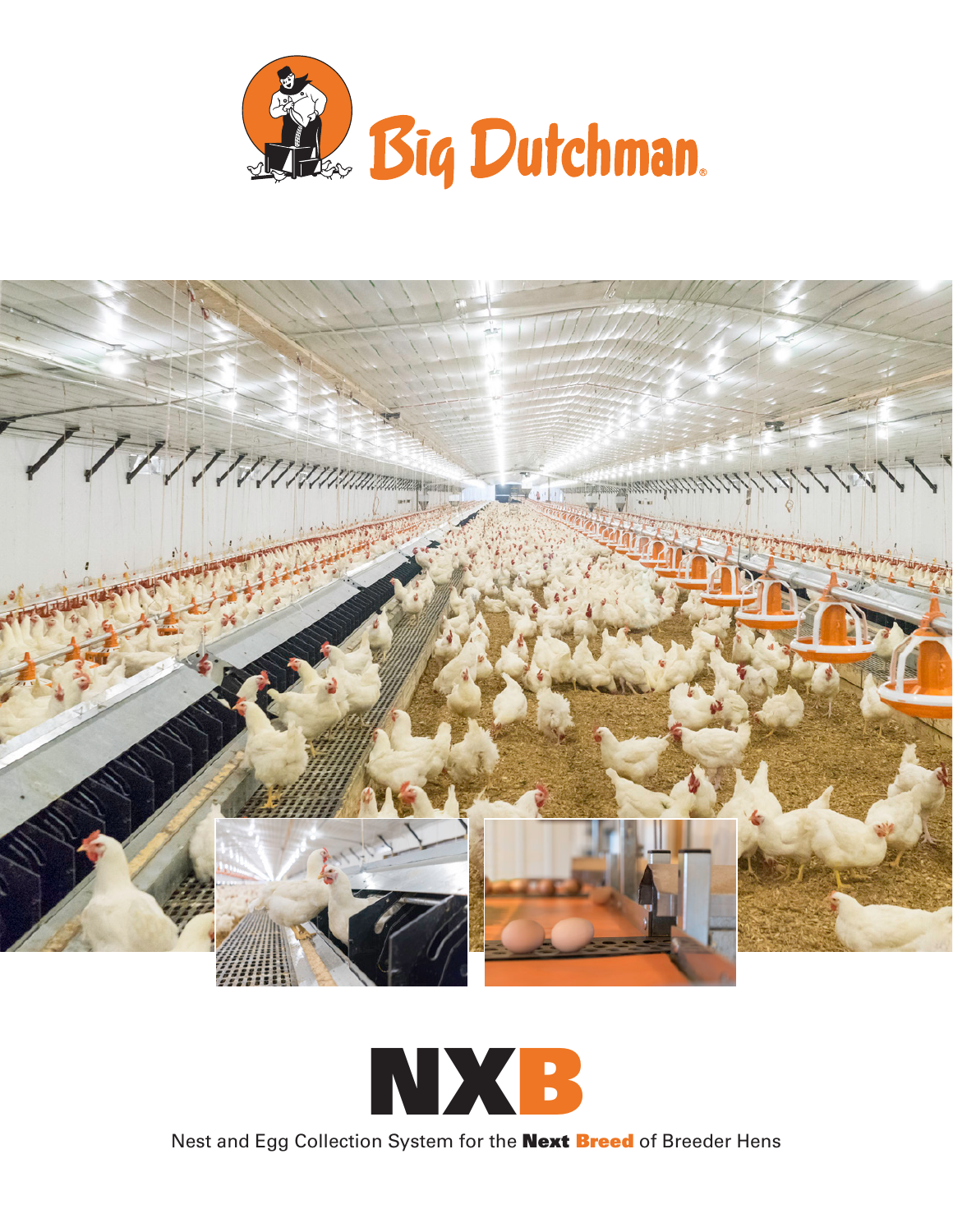





Nest and Egg Collection System for the **Next Breed** of Breeder Hens